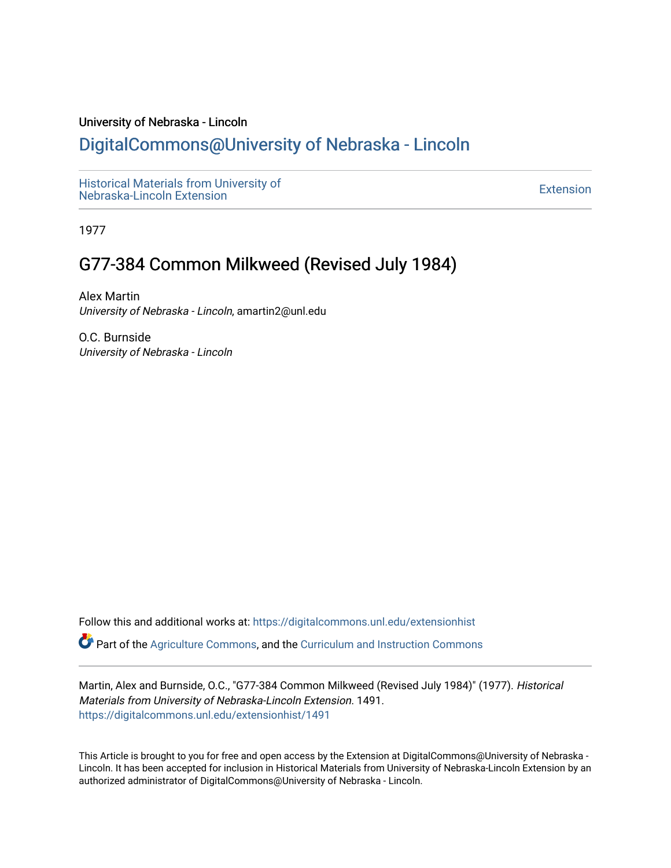#### University of Nebraska - Lincoln

# [DigitalCommons@University of Nebraska - Lincoln](https://digitalcommons.unl.edu/)

[Historical Materials from University of](https://digitalcommons.unl.edu/extensionhist)  nistorical Materials from Oniversity of the control of the control of the [Extension](https://digitalcommons.unl.edu/coop_extension) Extension extension of the<br>Nebraska-Lincoln Extension

1977

# G77-384 Common Milkweed (Revised July 1984)

Alex Martin University of Nebraska - Lincoln, amartin2@unl.edu

O.C. Burnside University of Nebraska - Lincoln

Follow this and additional works at: [https://digitalcommons.unl.edu/extensionhist](https://digitalcommons.unl.edu/extensionhist?utm_source=digitalcommons.unl.edu%2Fextensionhist%2F1491&utm_medium=PDF&utm_campaign=PDFCoverPages) 

Part of the [Agriculture Commons](http://network.bepress.com/hgg/discipline/1076?utm_source=digitalcommons.unl.edu%2Fextensionhist%2F1491&utm_medium=PDF&utm_campaign=PDFCoverPages), and the [Curriculum and Instruction Commons](http://network.bepress.com/hgg/discipline/786?utm_source=digitalcommons.unl.edu%2Fextensionhist%2F1491&utm_medium=PDF&utm_campaign=PDFCoverPages) 

Martin, Alex and Burnside, O.C., "G77-384 Common Milkweed (Revised July 1984)" (1977). Historical Materials from University of Nebraska-Lincoln Extension. 1491. [https://digitalcommons.unl.edu/extensionhist/1491](https://digitalcommons.unl.edu/extensionhist/1491?utm_source=digitalcommons.unl.edu%2Fextensionhist%2F1491&utm_medium=PDF&utm_campaign=PDFCoverPages) 

This Article is brought to you for free and open access by the Extension at DigitalCommons@University of Nebraska - Lincoln. It has been accepted for inclusion in Historical Materials from University of Nebraska-Lincoln Extension by an authorized administrator of DigitalCommons@University of Nebraska - Lincoln.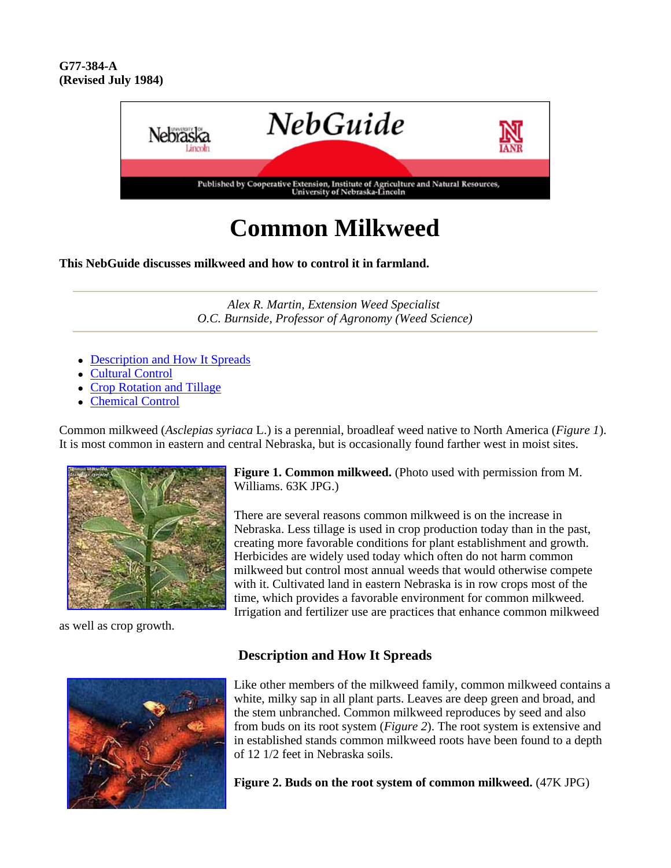#### **G77-384-A (Revised July 1984)**



# **Common Milkweed**

**This NebGuide discusses milkweed and how to control it in farmland.**

*Alex R. Martin, Extension Weed Specialist O.C. Burnside, Professor of Agronomy (Weed Science)*

- Description and How It Spreads
- Cultural Control
- Crop Rotation and Tillage
- Chemical Control

Common milkweed (*Asclepias syriaca* L.) is a perennial, broadleaf weed native to North America (*Figure 1*). It is most common in eastern and central Nebraska, but is occasionally found farther west in moist sites.



as well as crop growth.

**Figure 1. Common milkweed.** (Photo used with permission from M. Williams. 63K JPG.)

There are several reasons common milkweed is on the increase in Nebraska. Less tillage is used in crop production today than in the past, creating more favorable conditions for plant establishment and growth. Herbicides are widely used today which often do not harm common milkweed but control most annual weeds that would otherwise compete with it. Cultivated land in eastern Nebraska is in row crops most of the time, which provides a favorable environment for common milkweed. Irrigation and fertilizer use are practices that enhance common milkweed



#### **Description and How It Spreads**

Like other members of the milkweed family, common milkweed contains a white, milky sap in all plant parts. Leaves are deep green and broad, and the stem unbranched. Common milkweed reproduces by seed and also from buds on its root system (*Figure 2*). The root system is extensive and in established stands common milkweed roots have been found to a depth of 12 1/2 feet in Nebraska soils.

**Figure 2. Buds on the root system of common milkweed.** (47K JPG)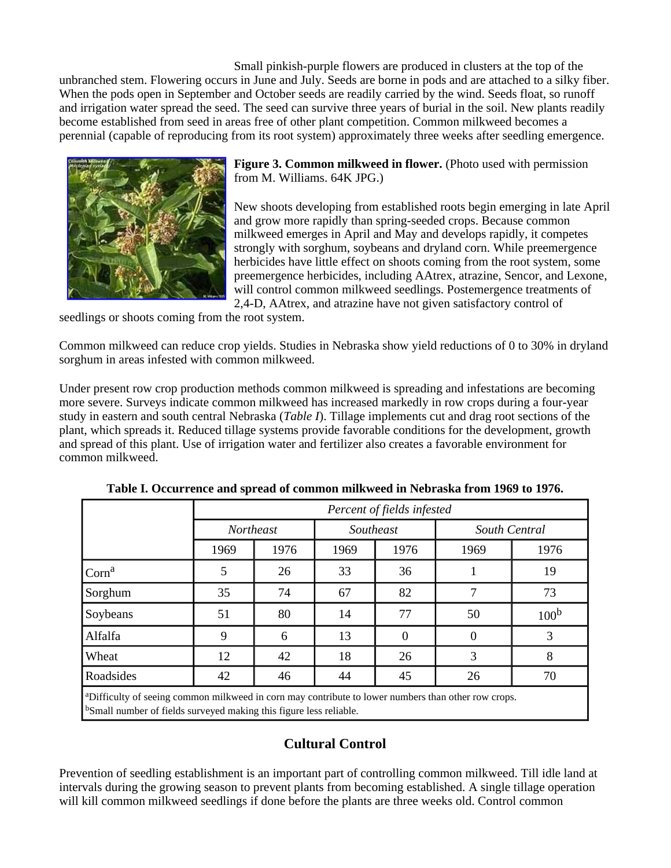Small pinkish-purple flowers are produced in clusters at the top of the unbranched stem. Flowering occurs in June and July. Seeds are borne in pods and are attached to a silky fiber. When the pods open in September and October seeds are readily carried by the wind. Seeds float, so runoff and irrigation water spread the seed. The seed can survive three years of burial in the soil. New plants readily become established from seed in areas free of other plant competition. Common milkweed becomes a perennial (capable of reproducing from its root system) approximately three weeks after seedling emergence.



**Figure 3. Common milkweed in flower.** (Photo used with permission from M. Williams. 64K JPG.)

New shoots developing from established roots begin emerging in late April and grow more rapidly than spring-seeded crops. Because common milkweed emerges in April and May and develops rapidly, it competes strongly with sorghum, soybeans and dryland corn. While preemergence herbicides have little effect on shoots coming from the root system, some preemergence herbicides, including AAtrex, atrazine, Sencor, and Lexone, will control common milkweed seedlings. Postemergence treatments of 2,4-D, AAtrex, and atrazine have not given satisfactory control of

seedlings or shoots coming from the root system.

Common milkweed can reduce crop yields. Studies in Nebraska show yield reductions of 0 to 30% in dryland sorghum in areas infested with common milkweed.

Under present row crop production methods common milkweed is spreading and infestations are becoming more severe. Surveys indicate common milkweed has increased markedly in row crops during a four-year study in eastern and south central Nebraska (*Table I*). Tillage implements cut and drag root sections of the plant, which spreads it. Reduced tillage systems provide favorable conditions for the development, growth and spread of this plant. Use of irrigation water and fertilizer also creates a favorable environment for common milkweed.

|                                                                                                                                                                                                   | Percent of fields infested |      |           |          |               |                  |  |
|---------------------------------------------------------------------------------------------------------------------------------------------------------------------------------------------------|----------------------------|------|-----------|----------|---------------|------------------|--|
|                                                                                                                                                                                                   | <b>Northeast</b>           |      | Southeast |          | South Central |                  |  |
|                                                                                                                                                                                                   | 1969                       | 1976 | 1969      | 1976     | 1969          | 1976             |  |
| $\mathrm{Corn}^a$                                                                                                                                                                                 | 5                          | 26   | 33        | 36       |               | 19               |  |
| Sorghum                                                                                                                                                                                           | 35                         | 74   | 67        | 82       | 7             | 73               |  |
| Soybeans                                                                                                                                                                                          | 51                         | 80   | 14        | 77       | 50            | 100 <sup>b</sup> |  |
| Alfalfa                                                                                                                                                                                           | 9                          | 6    | 13        | $\Omega$ | $\Omega$      | 3                |  |
| Wheat                                                                                                                                                                                             | 12                         | 42   | 18        | 26       | 3             | 8                |  |
| Roadsides                                                                                                                                                                                         | 42                         | 46   | 44        | 45       | 26            | 70               |  |
| <sup>a</sup> Difficulty of seeing common milkweed in corn may contribute to lower numbers than other row crops.<br><sup>b</sup> Small number of fields surveyed making this figure less reliable. |                            |      |           |          |               |                  |  |

**Table I. Occurrence and spread of common milkweed in Nebraska from 1969 to 1976.**

## **Cultural Control**

Prevention of seedling establishment is an important part of controlling common milkweed. Till idle land at intervals during the growing season to prevent plants from becoming established. A single tillage operation will kill common milkweed seedlings if done before the plants are three weeks old. Control common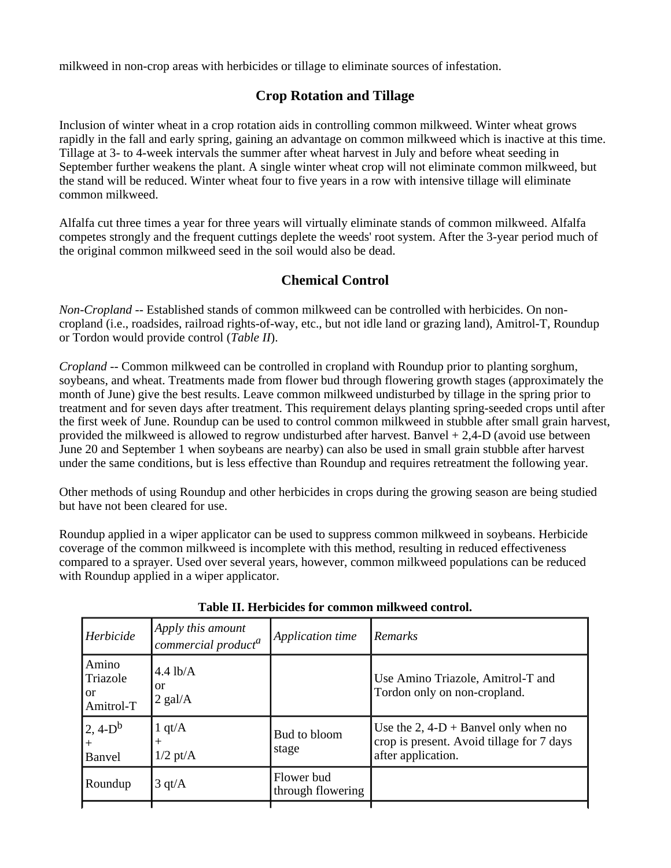milkweed in non-crop areas with herbicides or tillage to eliminate sources of infestation.

## **Crop Rotation and Tillage**

Inclusion of winter wheat in a crop rotation aids in controlling common milkweed. Winter wheat grows rapidly in the fall and early spring, gaining an advantage on common milkweed which is inactive at this time. Tillage at 3- to 4-week intervals the summer after wheat harvest in July and before wheat seeding in September further weakens the plant. A single winter wheat crop will not eliminate common milkweed, but the stand will be reduced. Winter wheat four to five years in a row with intensive tillage will eliminate common milkweed.

Alfalfa cut three times a year for three years will virtually eliminate stands of common milkweed. Alfalfa competes strongly and the frequent cuttings deplete the weeds' root system. After the 3-year period much of the original common milkweed seed in the soil would also be dead.

## **Chemical Control**

*Non-Cropland* -- Established stands of common milkweed can be controlled with herbicides. On noncropland (i.e., roadsides, railroad rights-of-way, etc., but not idle land or grazing land), Amitrol-T, Roundup or Tordon would provide control (*Table II*).

*Cropland* -- Common milkweed can be controlled in cropland with Roundup prior to planting sorghum, soybeans, and wheat. Treatments made from flower bud through flowering growth stages (approximately the month of June) give the best results. Leave common milkweed undisturbed by tillage in the spring prior to treatment and for seven days after treatment. This requirement delays planting spring-seeded crops until after the first week of June. Roundup can be used to control common milkweed in stubble after small grain harvest, provided the milkweed is allowed to regrow undisturbed after harvest. Banvel + 2,4-D (avoid use between June 20 and September 1 when soybeans are nearby) can also be used in small grain stubble after harvest under the same conditions, but is less effective than Roundup and requires retreatment the following year.

Other methods of using Roundup and other herbicides in crops during the growing season are being studied but have not been cleared for use.

Roundup applied in a wiper applicator can be used to suppress common milkweed in soybeans. Herbicide coverage of the common milkweed is incomplete with this method, resulting in reduced effectiveness compared to a sprayer. Used over several years, however, common milkweed populations can be reduced with Roundup applied in a wiper applicator.

|                                                 | commercial product <sup>a</sup>            | Application time                | Remarks                                                                                                   |
|-------------------------------------------------|--------------------------------------------|---------------------------------|-----------------------------------------------------------------------------------------------------------|
| Amino<br>Triazole<br><sub>or</sub><br>Amitrol-T | $4.4$ lb/A<br><b>or</b><br>$2$ gal/A       |                                 | Use Amino Triazole, Amitrol-T and<br>Tordon only on non-cropland.                                         |
| $2, 4-D^b$<br>Banvel                            | 1 qt/ $\mathbf{A}$<br>$^{+}$<br>$1/2$ pt/A | Bud to bloom<br>stage           | Use the $2, 4-D +$ Banvel only when no<br>crop is present. Avoid tillage for 7 days<br>after application. |
| Roundup                                         | $3 \text{ qt/A}$                           | Flower bud<br>through flowering |                                                                                                           |

#### **Table II. Herbicides for common milkweed control.**